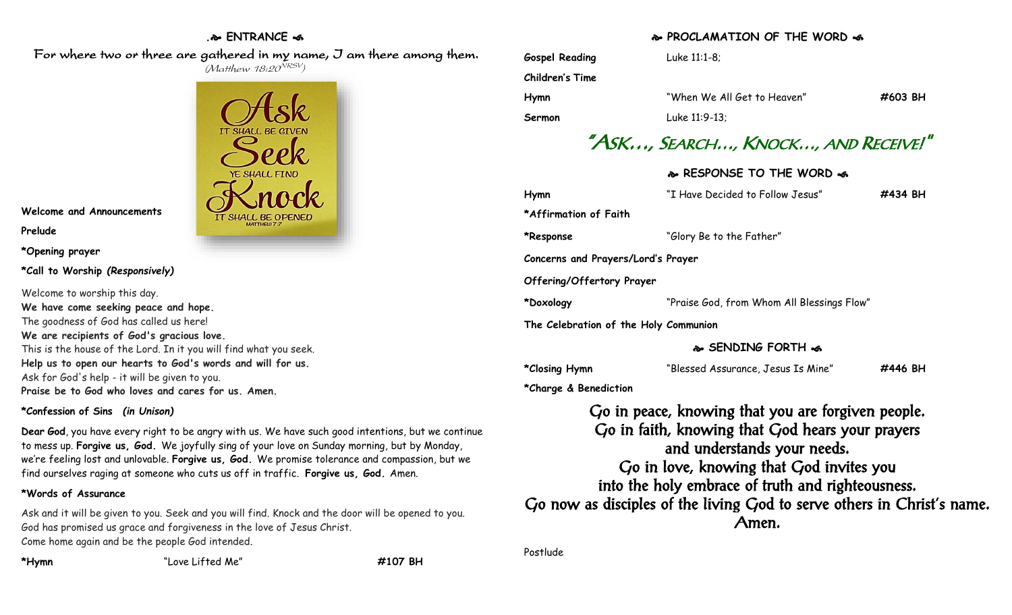# **. ENTRANCE**

For where two or three are gathered in my name, J am there among them. (Matthew 18:20<sup>NRSV</sup>)



**Welcome and Announcements**

**Prelude**

**\*Opening prayer**

# **\*Call to Worship** *(Responsively)*

Welcome to worship this day. **We have come seeking peace and hope.** The goodness of God has called us here! **We are recipients of God's gracious love.** This is the house of the Lord. In it you will find what you seek. **Help us to open our hearts to God's words and will for us.** Ask for God's help - it will be given to you. **Praise be to God who loves and cares for us. Amen.**

# **\*Confession of Sins** *(in Unison)*

**Dear God**, you have every right to be angry with us. We have such good intentions, but we continue to mess up. **Forgive us, God.** We joyfully sing of your love on Sunday morning, but by Monday, we're feeling lost and unlovable. **Forgive us, God.** We promise tolerance and compassion, but we find ourselves raging at someone who cuts us off in traffic. **Forgive us, God.** Amen.

# **\*Words of Assurance**

Ask and it will be given to you. Seek and you will find. Knock and the door will be opened to you. God has promised us grace and forgiveness in the love of Jesus Christ. Come home again and be the people God intended.

**\*Hymn** "Love Lifted Me" **#107 BH**

# **PROCLAMATION OF THE WORD**

| <b>Gospel Reading</b>                 | Luke 11:1-8;                                                                                                                                                                                                                                                                                                               |         |
|---------------------------------------|----------------------------------------------------------------------------------------------------------------------------------------------------------------------------------------------------------------------------------------------------------------------------------------------------------------------------|---------|
| <b>Children's Time</b>                |                                                                                                                                                                                                                                                                                                                            |         |
| <b>Hymn</b>                           | "When We All Get to Heaven"                                                                                                                                                                                                                                                                                                | #603 BH |
| Sermon                                | Luke 11:9-13;                                                                                                                                                                                                                                                                                                              |         |
|                                       | "ASK, SEARCH, KNOCK, AND RECEIVE!"                                                                                                                                                                                                                                                                                         |         |
|                                       | & RESPONSE TO THE WORD &                                                                                                                                                                                                                                                                                                   |         |
| Hymn                                  | "I Have Decided to Follow Jesus"                                                                                                                                                                                                                                                                                           | #434 BH |
| *Affirmation of Faith                 |                                                                                                                                                                                                                                                                                                                            |         |
| *Response                             | "Glory Be to the Father"                                                                                                                                                                                                                                                                                                   |         |
| Concerns and Prayers/Lord's Prayer    |                                                                                                                                                                                                                                                                                                                            |         |
| Offering/Offertory Prayer             |                                                                                                                                                                                                                                                                                                                            |         |
| *Doxology                             | "Praise God, from Whom All Blessings Flow"                                                                                                                                                                                                                                                                                 |         |
| The Celebration of the Holy Communion |                                                                                                                                                                                                                                                                                                                            |         |
|                                       | & SENDING FORTH &                                                                                                                                                                                                                                                                                                          |         |
| *Closing Hymn                         | "Blessed Assurance, Jesus Is Mine"                                                                                                                                                                                                                                                                                         | #446 BH |
| *Charge & Benediction                 |                                                                                                                                                                                                                                                                                                                            |         |
|                                       | Go in peace, knowing that you are forgiven people.<br>Go in faith, knowing that God hears your prayers<br>and understands your needs.<br>Go in love, knowing that God invites you<br>into the holy embrace of truth and righteousness.<br>Go now as disciples of the living God to serve others in Christ's name.<br>Amen. |         |
| Postlude                              |                                                                                                                                                                                                                                                                                                                            |         |